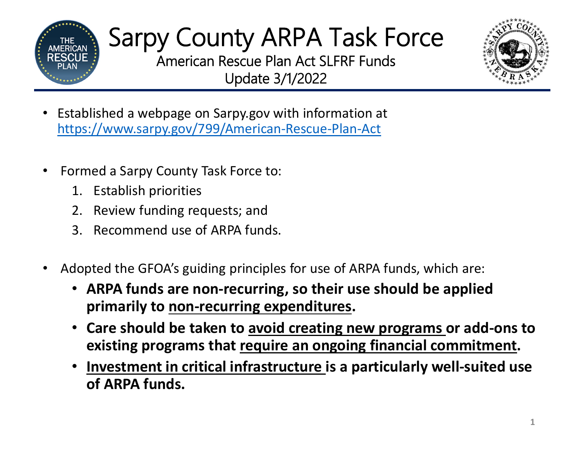

American Rescue Plan Act SLFRF FundsUpdate 3/1/2022



- $\bullet$  Established a webpage on Sarpy.gov with information at https://www.sarpy.gov/799/American ‐Rescue ‐Plan ‐Act
- •• Formed a Sarpy County Task Force to:
	- 1. Establish priorities
	- 2. Review funding requests; and
	- 3. Recommend use of ARPA funds.
- • Adopted the GFOA's guiding principles for use of ARPA funds, which are:
	- **ARPA funds are non ‐recurring, so their use should be applied primarily to non ‐recurring expenditures.**
	- **Care should be taken to avoid creating new programs or add ‐ons to existing programs that require an ongoing financial commitment.**
	- **Investment in critical infrastructure is a particularly well ‐suited use of ARPA funds.**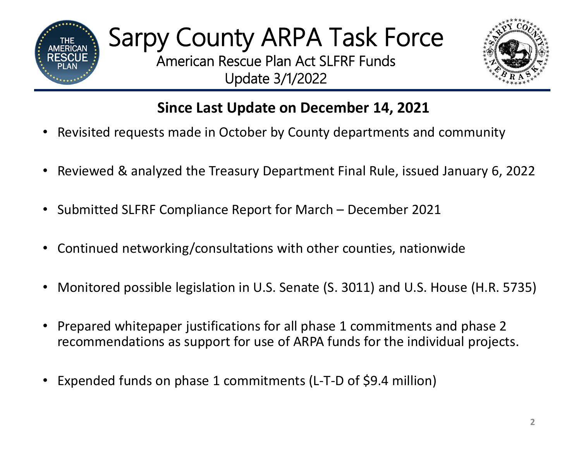

Update 3/1/2022



### **Since Last Update on December 14, 2021**

- •Revisited requests made in October by County departments and community
- •Reviewed & analyzed the Treasury Department Final Rule, issued January 6, 2022
- $\bullet$ • Submitted SLFRF Compliance Report for March – December 2021
- •Continued networking/consultations with other counties, nationwide
- •Monitored possible legislation in U.S. Senate (S. 3011) and U.S. House (H.R. 5735)
- • Prepared whitepaper justifications for all phase 1 commitments and phase 2 recommendations as support for use of ARPA funds for the individual projects.
- •Expended funds on phase <sup>1</sup> commitments (L‐T‐<sup>D</sup> of \$9.4 million)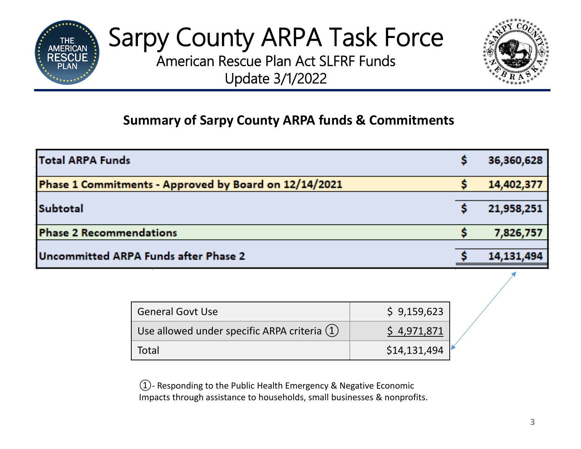

American Rescue Plan Act SLFRF Funds Update 3/1/2022



#### **Summary of Sarpy County ARPA funds & Commitments**

| <b>Total ARPA Funds</b>                               | 36,360,628 |
|-------------------------------------------------------|------------|
| Phase 1 Commitments - Approved by Board on 12/14/2021 | 14,402,377 |
|                                                       |            |
| Subtotal                                              | 21,958,251 |
| <b>Phase 2 Recommendations</b>                        | 7,826,757  |
|                                                       |            |
| Uncommitted ARPA Funds after Phase 2                  | 14,131,494 |
|                                                       |            |

| <b>General Govt Use</b>                        | \$9,159,623  |
|------------------------------------------------|--------------|
| Use allowed under specific ARPA criteria $(1)$ | \$4,971,871  |
| Total                                          | \$14,131,494 |

 $\textcircled{1}$ - Responding to the Public Health Emergency & Negative Economic Impacts through assistance to households, small businesses & nonprofits.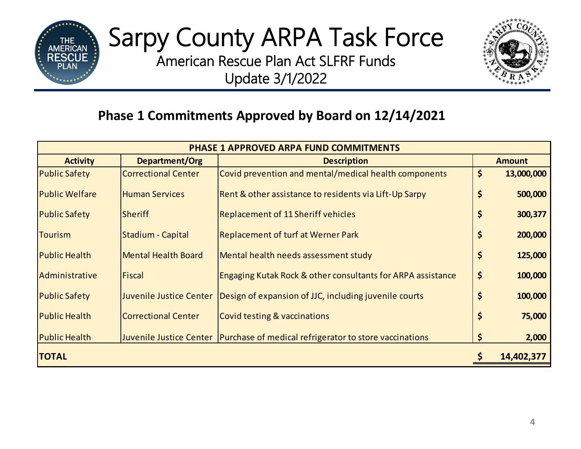

American Rescue Plan Act SLFRF Funds Update 3/1/2022



#### **Phase 1 Commitments Approved by Board on 12/14/2021**

| <b>PHASE 1 APPROVED ARPA FUND COMMITMENTS</b> |                            |                                                                                  |    |               |  |  |
|-----------------------------------------------|----------------------------|----------------------------------------------------------------------------------|----|---------------|--|--|
| <b>Activity</b>                               | Department/Org             | <b>Description</b>                                                               |    | <b>Amount</b> |  |  |
| <b>Public Safety</b>                          | <b>Correctional Center</b> | Covid prevention and mental/medical health components                            | \$ | 13,000,000    |  |  |
| <b>Public Welfare</b>                         | <b>Human Services</b>      | Rent & other assistance to residents via Lift-Up Sarpy                           | \$ | 500,000       |  |  |
| <b>Public Safety</b>                          | <b>Sheriff</b>             | <b>Replacement of 11 Sheriff vehicles</b>                                        | \$ | 300,377       |  |  |
| <b>Tourism</b>                                | Stadium - Capital          | <b>Replacement of turf at Werner Park</b>                                        | \$ | 200,000       |  |  |
| <b>Public Health</b>                          | <b>Mental Health Board</b> | Mental health needs assessment study                                             | \$ | 125,000       |  |  |
| Administrative                                | <b>Fiscal</b>              | <b>Engaging Kutak Rock &amp; other consultants for ARPA assistance</b>           | \$ | 100,000       |  |  |
| <b>Public Safety</b>                          | Juvenile Justice Center    | Design of expansion of JJC, including juvenile courts                            | \$ | 100,000       |  |  |
| <b>Public Health</b>                          | <b>Correctional Center</b> | <b>Covid testing &amp; vaccinations</b>                                          | \$ | 75,000        |  |  |
| <b>Public Health</b>                          |                            | Juvenile Justice Center   Purchase of medical refrigerator to store vaccinations | \$ | 2,000         |  |  |
| <b>TOTAL</b>                                  |                            |                                                                                  |    | 14,402,377    |  |  |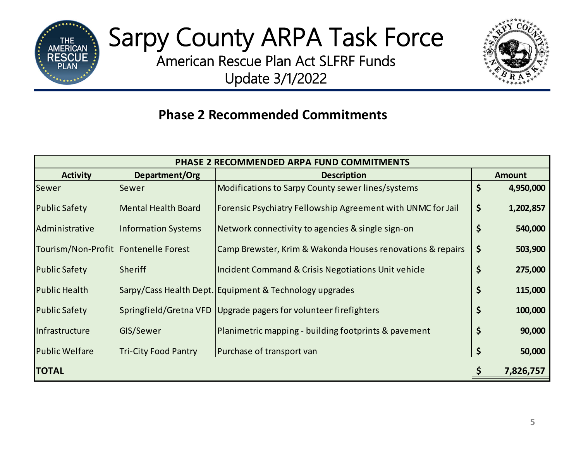

American Rescue Plan Act SLFRF Funds Update 3/1/2022



#### **Phase 2 Recommended Commitments**

| PHASE 2 RECOMMENDED ARPA FUND COMMITMENTS |                             |                                                                  |               |           |  |  |
|-------------------------------------------|-----------------------------|------------------------------------------------------------------|---------------|-----------|--|--|
| <b>Activity</b>                           | Department/Org              | <b>Description</b>                                               | <b>Amount</b> |           |  |  |
| Sewer                                     | Sewer                       | Modifications to Sarpy County sewer lines/systems                | \$            | 4,950,000 |  |  |
| <b>Public Safety</b>                      | <b>Mental Health Board</b>  | Forensic Psychiatry Fellowship Agreement with UNMC for Jail      | \$            | 1,202,857 |  |  |
| Administrative                            | <b>Information Systems</b>  | Network connectivity to agencies & single sign-on                | \$            | 540,000   |  |  |
| Tourism/Non-Profit   Fontenelle Forest    |                             | Camp Brewster, Krim & Wakonda Houses renovations & repairs       | \$            | 503,900   |  |  |
| <b>Public Safety</b>                      | Sheriff                     | Incident Command & Crisis Negotiations Unit vehicle              | \$            | 275,000   |  |  |
| <b>Public Health</b>                      |                             | Sarpy/Cass Health Dept. Equipment & Technology upgrades          | \$            | 115,000   |  |  |
| <b>Public Safety</b>                      |                             | Springfield/Gretna VFD Upgrade pagers for volunteer firefighters | \$            | 100,000   |  |  |
| Infrastructure                            | GIS/Sewer                   | Planimetric mapping - building footprints & pavement             | \$            | 90,000    |  |  |
| <b>Public Welfare</b>                     | <b>Tri-City Food Pantry</b> | Purchase of transport van                                        | Ş             | 50,000    |  |  |
| <b>TOTAL</b>                              |                             |                                                                  |               | 7,826,757 |  |  |